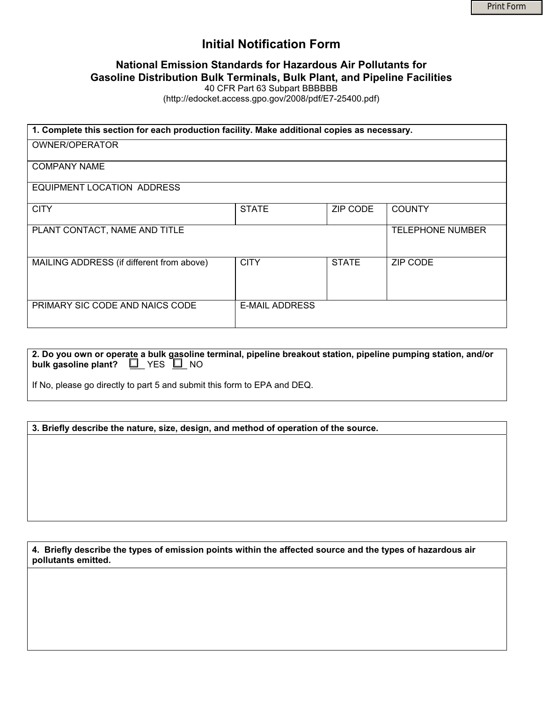# **Initial Notification Form**

## **National Emission Standards for Hazardous Air Pollutants for Gasoline Distribution Bulk Terminals, Bulk Plant, and Pipeline Facilities**

40 CFR Part 63 Subpart BBBBBB

(http://edocket.access.gpo.gov/2008/pdf/E7-25400.pdf)

| 1. Complete this section for each production facility. Make additional copies as necessary. |                       |              |                         |
|---------------------------------------------------------------------------------------------|-----------------------|--------------|-------------------------|
| OWNER/OPERATOR                                                                              |                       |              |                         |
| <b>COMPANY NAME</b>                                                                         |                       |              |                         |
| EQUIPMENT LOCATION ADDRESS                                                                  |                       |              |                         |
| <b>CITY</b>                                                                                 | <b>STATE</b>          | ZIP CODE     | <b>COUNTY</b>           |
| PLANT CONTACT, NAME AND TITLE                                                               |                       |              | <b>TELEPHONE NUMBER</b> |
| MAILING ADDRESS (if different from above)                                                   | <b>CITY</b>           | <b>STATE</b> | <b>ZIP CODE</b>         |
| PRIMARY SIC CODE AND NAICS CODE                                                             | <b>E-MAIL ADDRESS</b> |              |                         |

**2. Do you own or operate a bulk gasoline terminal, pipeline breakout station, pipeline pumping station, and/or bulk gasoline plant?**  $\Box$  YES  $\Box$  NO

If No, please go directly to part 5 and submit this form to EPA and DEQ.

### **3. Briefly describe the nature, size, design, and method of operation of the source.**

**4. Briefly describe the types of emission points within the affected source and the types of hazardous air pollutants emitted.**